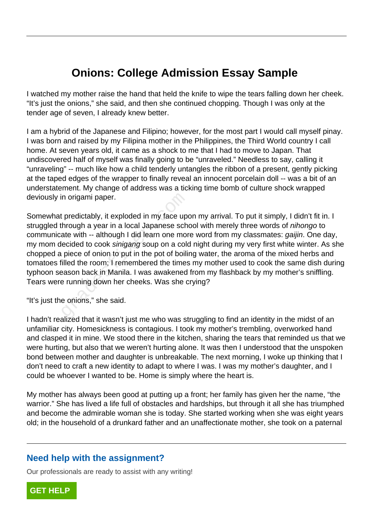## **Onions: College Admission Essay Sample**

I watched my mother raise the hand that held the knife to wipe the tears falling down her cheek. "It's just the onions," she said, and then she continued chopping. Though I was only at the tender age of seven, I already knew better.

I am a hybrid of the Japanese and Filipino; however, for the most part I would call myself pinay. I was born and raised by my Filipina mother in the Philippines, the Third World country I call home. At seven years old, it came as a shock to me that I had to move to Japan. That undiscovered half of myself was finally going to be "unraveled." Needless to say, calling it "unraveling" -- much like how a child tenderly untangles the ribbon of a present, gently picking at the taped edges of the wrapper to finally reveal an innocent porcelain doll -- was a bit of an understatement. My change of address was a ticking time bomb of culture shock wrapped deviously in origami paper.

Somewhat predictably, it exploded in my face upon my arrival. To put it simply, I didn't fit in. I struggled through a year in a local Japanese school with merely three words of nihongo to communicate with -- although I did learn one more word from my classmates: gaijin. One day, my mom decided to cook sinigang soup on a cold night during my very first white winter. As she chopped a piece of onion to put in the pot of boiling water, the aroma of the mixed herbs and tomatoes filled the room; I remembered the times my mother used to cook the same dish during typhoon season back in Manila. I was awakened from my flashback by my mother's sniffling. Tears were running down her cheeks. Was she crying? in origami paper.<br>
It predictably, it exploded in my face up<br>
through a year in a local Japanese scheme that<br>
the with -- although I did learn one more<br>
lecided to cook sinigang soup on a color<br>
piece of onion to put in th

"It's just the onions," she said.

I hadn't realized that it wasn't just me who was struggling to find an identity in the midst of an unfamiliar city. Homesickness is contagious. I took my mother's trembling, overworked hand and clasped it in mine. We stood there in the kitchen, sharing the tears that reminded us that we were hurting, but also that we weren't hurting alone. It was then I understood that the unspoken bond between mother and daughter is unbreakable. The next morning, I woke up thinking that I don't need to craft a new identity to adapt to where I was. I was my mother's daughter, and I could be whoever I wanted to be. Home is simply where the heart is.

My mother has always been good at putting up a front; her family has given her the name, "the warrior." She has lived a life full of obstacles and hardships, but through it all she has triumphed and become the admirable woman she is today. She started working when she was eight years old; in the household of a drunkard father and an unaffectionate mother, she took on a paternal

## **Need help with the assignment?**

Our professionals are ready to assist with any writing!